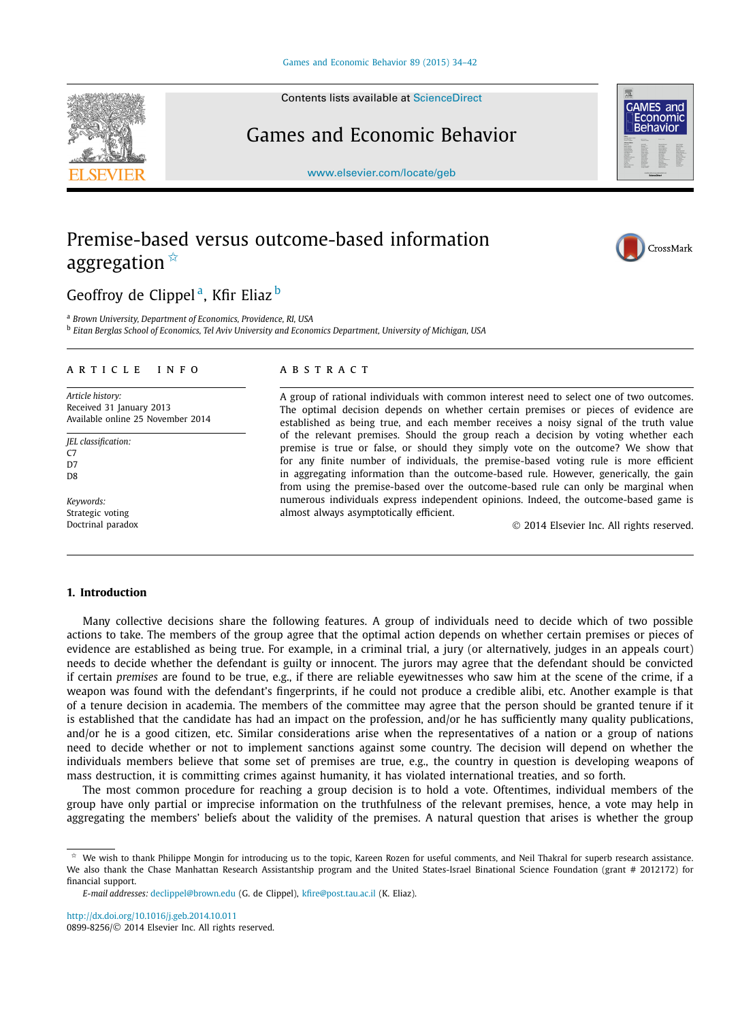Contents lists available at [ScienceDirect](http://www.ScienceDirect.com/)

# Games and Economic Behavior

[www.elsevier.com/locate/geb](http://www.elsevier.com/locate/geb)

# Premise-based versus outcome-based information aggregation  $*$

## Geoffroy de Clippel<sup>a</sup>, Kfir Eliaz<sup>b</sup>

<sup>a</sup> *Brown University, Department of Economics, Providence, RI, USA*

<sup>b</sup> *Eitan Berglas School of Economics, Tel Aviv University and Economics Department, University of Michigan, USA*

### A R T I C L E I N F O A B S T R A C T

*Article history:* Received 31 January 2013 Available online 25 November 2014

*JEL classification:*  $C<sub>7</sub>$ D7 D<sub>8</sub>

*Keywords:* Strategic voting Doctrinal paradox

A group of rational individuals with common interest need to select one of two outcomes. The optimal decision depends on whether certain premises or pieces of evidence are established as being true, and each member receives a noisy signal of the truth value of the relevant premises. Should the group reach a decision by voting whether each premise is true or false, or should they simply vote on the outcome? We show that for any finite number of individuals, the premise-based voting rule is more efficient in aggregating information than the outcome-based rule. However, generically, the gain from using the premise-based over the outcome-based rule can only be marginal when numerous individuals express independent opinions. Indeed, the outcome-based game is almost always asymptotically efficient.

© 2014 Elsevier Inc. All rights reserved.

### **1. Introduction**

Many collective decisions share the following features. A group of individuals need to decide which of two possible actions to take. The members of the group agree that the optimal action depends on whether certain premises or pieces of evidence are established as being true. For example, in a criminal trial, a jury (or alternatively, judges in an appeals court) needs to decide whether the defendant is guilty or innocent. The jurors may agree that the defendant should be convicted if certain *premises* are found to be true, e.g., if there are reliable eyewitnesses who saw him at the scene of the crime, if a weapon was found with the defendant's fingerprints, if he could not produce a credible alibi, etc. Another example is that of a tenure decision in academia. The members of the committee may agree that the person should be granted tenure if it is established that the candidate has had an impact on the profession, and/or he has sufficiently many quality publications, and/or he is a good citizen, etc. Similar considerations arise when the representatives of a nation or a group of nations need to decide whether or not to implement sanctions against some country. The decision will depend on whether the individuals members believe that some set of premises are true, e.g., the country in question is developing weapons of mass destruction, it is committing crimes against humanity, it has violated international treaties, and so forth.

The most common procedure for reaching a group decision is to hold a vote. Oftentimes, individual members of the group have only partial or imprecise information on the truthfulness of the relevant premises, hence, a vote may help in aggregating the members' beliefs about the validity of the premises. A natural question that arises is whether the group







<sup>✩</sup> We wish to thank Philippe Mongin for introducing us to the topic, Kareen Rozen for useful comments, and Neil Thakral for superb research assistance. We also thank the Chase Manhattan Research Assistantship program and the United States-Israel Binational Science Foundation (grant # 2012172) for financial support.

*E-mail addresses:* [declippel@brown.edu](mailto:declippel@brown.edu) (G. de Clippel), [kfire@post.tau.ac.il](mailto:kfire@post.tau.ac.il) (K. Eliaz).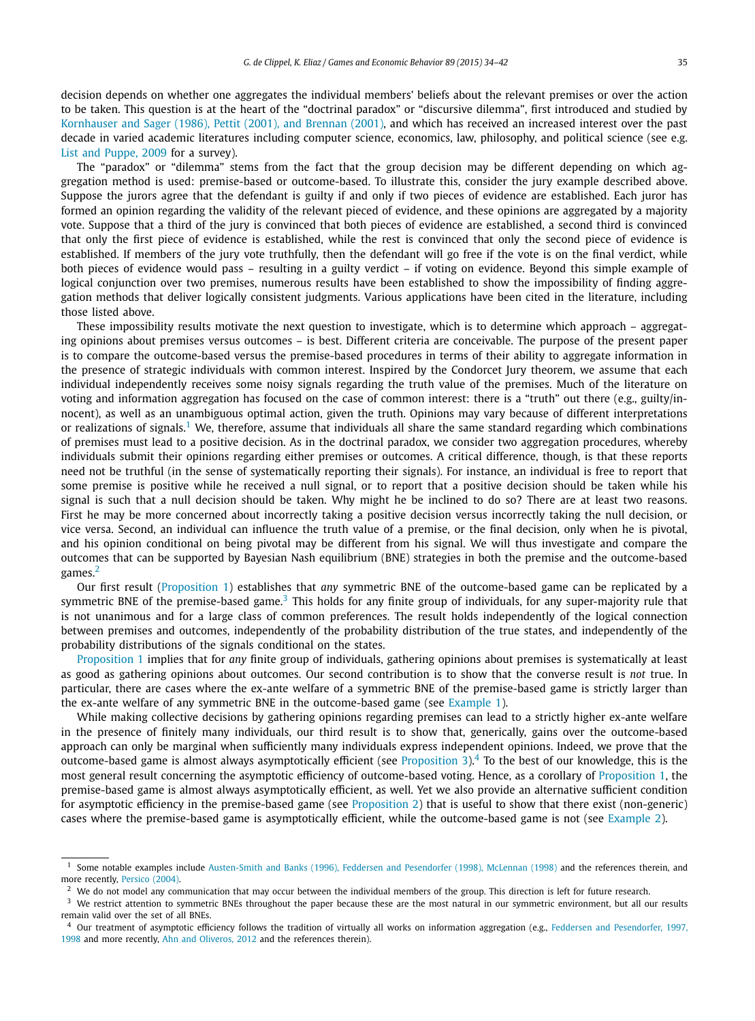decision depends on whether one aggregates the individual members' beliefs about the relevant premises or over the action to be taken. This question is at the heart of the "doctrinal paradox" or "discursive dilemma", first introduced and studied by [Kornhauser](#page-8-0) and Sager (1986), Pettit (2001), and Brennan (2001), and which has received an increased interest over the past decade in varied academic literatures including computer science, economics, law, philosophy, and political science (see e.g. List and [Puppe,](#page-8-0) 2009 for a survey).

The "paradox" or "dilemma" stems from the fact that the group decision may be different depending on which aggregation method is used: premise-based or outcome-based. To illustrate this, consider the jury example described above. Suppose the jurors agree that the defendant is guilty if and only if two pieces of evidence are established. Each juror has formed an opinion regarding the validity of the relevant pieced of evidence, and these opinions are aggregated by a majority vote. Suppose that a third of the jury is convinced that both pieces of evidence are established, a second third is convinced that only the first piece of evidence is established, while the rest is convinced that only the second piece of evidence is established. If members of the jury vote truthfully, then the defendant will go free if the vote is on the final verdict, while both pieces of evidence would pass – resulting in a guilty verdict – if voting on evidence. Beyond this simple example of logical conjunction over two premises, numerous results have been established to show the impossibility of finding aggregation methods that deliver logically consistent judgments. Various applications have been cited in the literature, including those listed above.

These impossibility results motivate the next question to investigate, which is to determine which approach – aggregating opinions about premises versus outcomes – is best. Different criteria are conceivable. The purpose of the present paper is to compare the outcome-based versus the premise-based procedures in terms of their ability to aggregate information in the presence of strategic individuals with common interest. Inspired by the Condorcet Jury theorem, we assume that each individual independently receives some noisy signals regarding the truth value of the premises. Much of the literature on voting and information aggregation has focused on the case of common interest: there is a "truth" out there (e.g., guilty/innocent), as well as an unambiguous optimal action, given the truth. Opinions may vary because of different interpretations or realizations of signals.<sup>1</sup> We, therefore, assume that individuals all share the same standard regarding which combinations of premises must lead to a positive decision. As in the doctrinal paradox, we consider two aggregation procedures, whereby individuals submit their opinions regarding either premises or outcomes. A critical difference, though, is that these reports need not be truthful (in the sense of systematically reporting their signals). For instance, an individual is free to report that some premise is positive while he received a null signal, or to report that a positive decision should be taken while his signal is such that a null decision should be taken. Why might he be inclined to do so? There are at least two reasons. First he may be more concerned about incorrectly taking a positive decision versus incorrectly taking the null decision, or vice versa. Second, an individual can influence the truth value of a premise, or the final decision, only when he is pivotal, and his opinion conditional on being pivotal may be different from his signal. We will thus investigate and compare the outcomes that can be supported by Bayesian Nash equilibrium (BNE) strategies in both the premise and the outcome-based games.<sup>2</sup>

Our first result [\(Proposition 1\)](#page-4-0) establishes that *any* symmetric BNE of the outcome-based game can be replicated by a symmetric BNE of the premise-based game. $3$  This holds for any finite group of individuals, for any super-majority rule that is not unanimous and for a large class of common preferences. The result holds independently of the logical connection between premises and outcomes, independently of the probability distribution of the true states, and independently of the probability distributions of the signals conditional on the states.

[Proposition 1](#page-4-0) implies that for *any* finite group of individuals, gathering opinions about premises is systematically at least as good as gathering opinions about outcomes. Our second contribution is to show that the converse result is *not* true. In particular, there are cases where the ex-ante welfare of a symmetric BNE of the premise-based game is strictly larger than the ex-ante welfare of any symmetric BNE in the outcome-based game (see [Example 1\)](#page-5-0).

While making collective decisions by gathering opinions regarding premises can lead to a strictly higher ex-ante welfare in the presence of finitely many individuals, our third result is to show that, generically, gains over the outcome-based approach can only be marginal when sufficiently many individuals express independent opinions. Indeed, we prove that the outcome-based game is almost always asymptotically efficient (see [Proposition 3\)](#page-6-0).4 To the best of our knowledge, this is the most general result concerning the asymptotic efficiency of outcome-based voting. Hence, as a corollary of [Proposition 1,](#page-4-0) the premise-based game is almost always asymptotically efficient, as well. Yet we also provide an alternative sufficient condition for asymptotic efficiency in the premise-based game (see [Proposition 2\)](#page-6-0) that is useful to show that there exist (non-generic) cases where the premise-based game is asymptotically efficient, while the outcome-based game is not (see [Example 2\)](#page-7-0).

<sup>&</sup>lt;sup>1</sup> Some notable examples include [Austen-Smith](#page-8-0) and Banks (1996), Feddersen and Pesendorfer (1998), McLennan (1998) and the references therein, and more recently, [Persico](#page-8-0) (2004).

 $^2$  We do not model any communication that may occur between the individual members of the group. This direction is left for future research.

<sup>&</sup>lt;sup>3</sup> We restrict attention to symmetric BNEs throughout the paper because these are the most natural in our symmetric environment, but all our results remain valid over the set of all BNEs.

<sup>&</sup>lt;sup>4</sup> Our treatment of asymptotic efficiency follows the tradition of virtually all works on information aggregation (e.g., Feddersen and [Pesendorfer,](#page-8-0) 1997, [1998](#page-8-0) and more recently, Ahn and [Oliveros,](#page-8-0) 2012 and the references therein).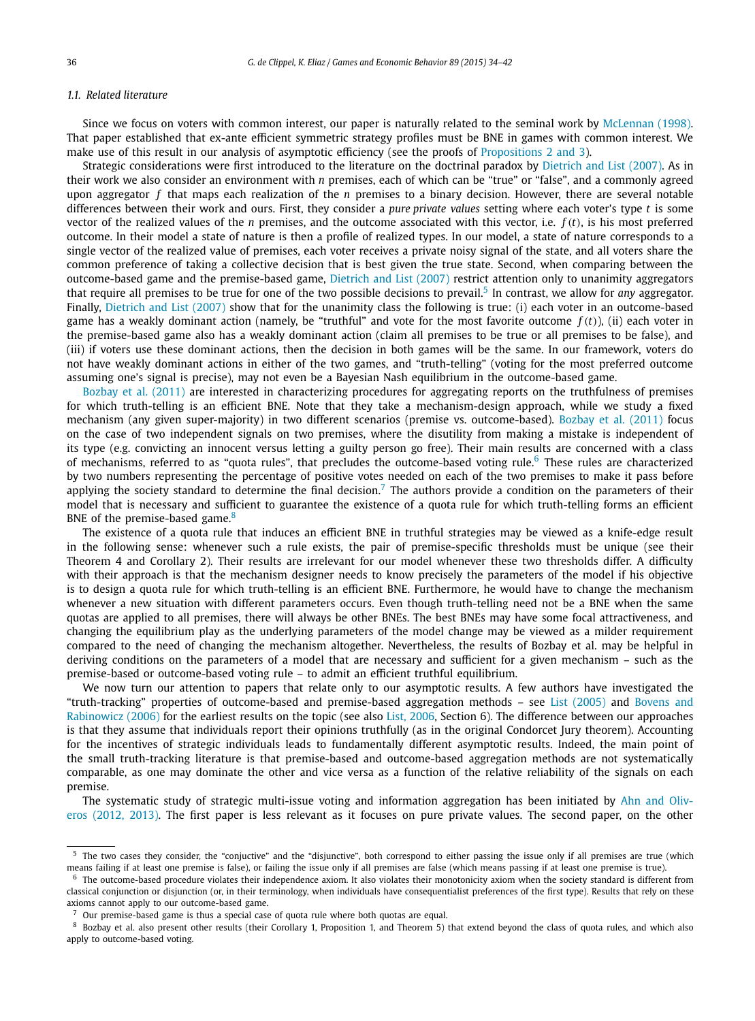#### *1.1. Related literature*

Since we focus on voters with common interest, our paper is naturally related to the seminal work by [McLennan](#page-8-0) (1998). That paper established that ex-ante efficient symmetric strategy profiles must be BNE in games with common interest. We make use of this result in our analysis of asymptotic efficiency (see the proofs of [Propositions 2 and 3\)](#page-6-0).

Strategic considerations were first introduced to the literature on the doctrinal paradox by [Dietrich](#page-8-0) and List (2007). As in their work we also consider an environment with *n* premises, each of which can be "true" or "false", and a commonly agreed upon aggregator *f* that maps each realization of the *n* premises to a binary decision. However, there are several notable differences between their work and ours. First, they consider a *pure private values* setting where each voter's type *t* is some vector of the realized values of the *n* premises, and the outcome associated with this vector, i.e. *f (t)*, is his most preferred outcome. In their model a state of nature is then a profile of realized types. In our model, a state of nature corresponds to a single vector of the realized value of premises, each voter receives a private noisy signal of the state, and all voters share the common preference of taking a collective decision that is best given the true state. Second, when comparing between the outcome-based game and the premise-based game, [Dietrich](#page-8-0) and List (2007) restrict attention only to unanimity aggregators that require all premises to be true for one of the two possible decisions to prevail.<sup>5</sup> In contrast, we allow for *any* aggregator. Finally, [Dietrich](#page-8-0) and List (2007) show that for the unanimity class the following is true: (i) each voter in an outcome-based game has a weakly dominant action (namely, be "truthful" and vote for the most favorite outcome  $f(t)$ ), (ii) each voter in the premise-based game also has a weakly dominant action (claim all premises to be true or all premises to be false), and (iii) if voters use these dominant actions, then the decision in both games will be the same. In our framework, voters do not have weakly dominant actions in either of the two games, and "truth-telling" (voting for the most preferred outcome assuming one's signal is precise), may not even be a Bayesian Nash equilibrium in the outcome-based game.

Bozbay et [al. \(2011\)](#page-8-0) are interested in characterizing procedures for aggregating reports on the truthfulness of premises for which truth-telling is an efficient BNE. Note that they take a mechanism-design approach, while we study a fixed mechanism (any given super-majority) in two different scenarios (premise vs. outcome-based). Bozbay et [al. \(2011\)](#page-8-0) focus on the case of two independent signals on two premises, where the disutility from making a mistake is independent of its type (e.g. convicting an innocent versus letting a guilty person go free). Their main results are concerned with a class of mechanisms, referred to as "quota rules", that precludes the outcome-based voting rule. $6$  These rules are characterized by two numbers representing the percentage of positive votes needed on each of the two premises to make it pass before applying the society standard to determine the final decision.<sup>7</sup> The authors provide a condition on the parameters of their model that is necessary and sufficient to guarantee the existence of a quota rule for which truth-telling forms an efficient BNE of the premise-based game.<sup>8</sup>

The existence of a quota rule that induces an efficient BNE in truthful strategies may be viewed as a knife-edge result in the following sense: whenever such a rule exists, the pair of premise-specific thresholds must be unique (see their Theorem 4 and Corollary 2). Their results are irrelevant for our model whenever these two thresholds differ. A difficulty with their approach is that the mechanism designer needs to know precisely the parameters of the model if his objective is to design a quota rule for which truth-telling is an efficient BNE. Furthermore, he would have to change the mechanism whenever a new situation with different parameters occurs. Even though truth-telling need not be a BNE when the same quotas are applied to all premises, there will always be other BNEs. The best BNEs may have some focal attractiveness, and changing the equilibrium play as the underlying parameters of the model change may be viewed as a milder requirement compared to the need of changing the mechanism altogether. Nevertheless, the results of Bozbay et al. may be helpful in deriving conditions on the parameters of a model that are necessary and sufficient for a given mechanism – such as the premise-based or outcome-based voting rule – to admit an efficient truthful equilibrium.

We now turn our attention to papers that relate only to our asymptotic results. A few authors have investigated the "truth-tracking" properties of outcome-based and premise-based aggregation methods – see List [\(2005\)](#page-8-0) and [Bovens](#page-8-0) and [Rabinowicz](#page-8-0) (2006) for the earliest results on the topic (see also List, [2006,](#page-8-0) Section 6). The difference between our approaches is that they assume that individuals report their opinions truthfully (as in the original Condorcet Jury theorem). Accounting for the incentives of strategic individuals leads to fundamentally different asymptotic results. Indeed, the main point of the small truth-tracking literature is that premise-based and outcome-based aggregation methods are not systematically comparable, as one may dominate the other and vice versa as a function of the relative reliability of the signals on each premise.

The systematic study of strategic multi-issue voting and information aggregation has been initiated by Ahn and [Oliv](#page-8-0)eros [\(2012,](#page-8-0) 2013). The first paper is less relevant as it focuses on pure private values. The second paper, on the other

The two cases they consider, the "conjuctive" and the "disjunctive", both correspond to either passing the issue only if all premises are true (which means failing if at least one premise is false), or failing the issue only if all premises are false (which means passing if at least one premise is true).

 $6$  The outcome-based procedure violates their independence axiom. It also violates their monotonicity axiom when the society standard is different from classical conjunction or disjunction (or, in their terminology, when individuals have consequentialist preferences of the first type). Results that rely on these axioms cannot apply to our outcome-based game.

 $7$  Our premise-based game is thus a special case of quota rule where both quotas are equal.

<sup>8</sup> Bozbay et al. also present other results (their Corollary 1, Proposition 1, and Theorem 5) that extend beyond the class of quota rules, and which also apply to outcome-based voting.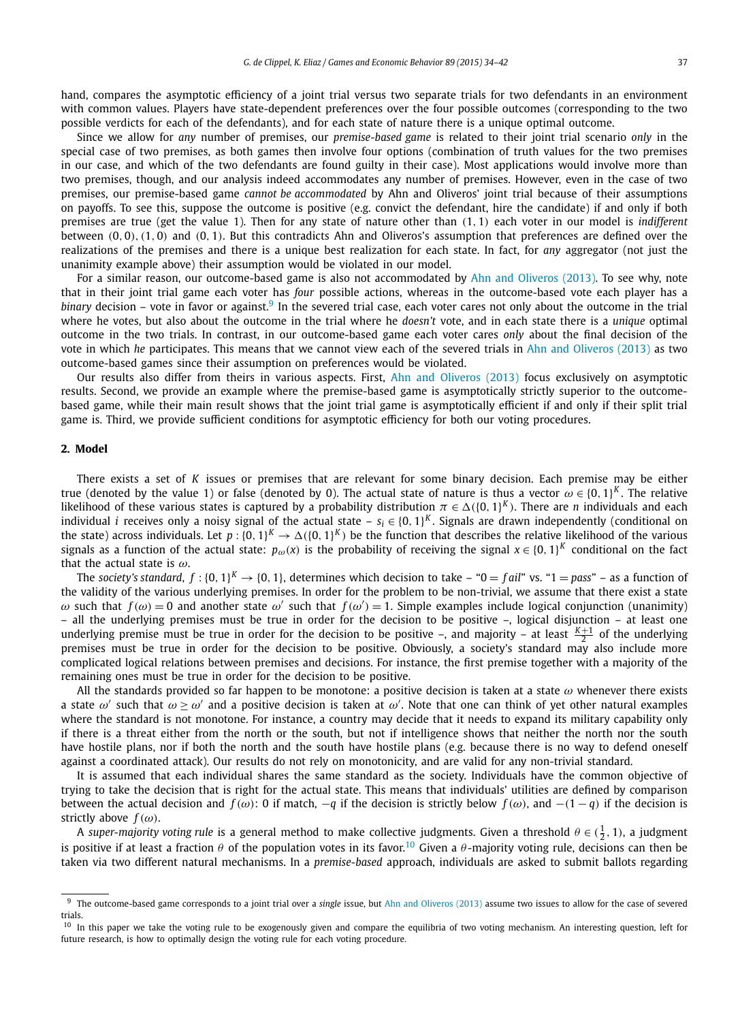hand, compares the asymptotic efficiency of a joint trial versus two separate trials for two defendants in an environment with common values. Players have state-dependent preferences over the four possible outcomes (corresponding to the two possible verdicts for each of the defendants), and for each state of nature there is a unique optimal outcome.

Since we allow for *any* number of premises, our *premise-based game* is related to their joint trial scenario *only* in the special case of two premises, as both games then involve four options (combination of truth values for the two premises in our case, and which of the two defendants are found guilty in their case). Most applications would involve more than two premises, though, and our analysis indeed accommodates any number of premises. However, even in the case of two premises, our premise-based game *cannot be accommodated* by Ahn and Oliveros' joint trial because of their assumptions on payoffs. To see this, suppose the outcome is positive (e.g. convict the defendant, hire the candidate) if and only if both premises are true (get the value 1). Then for any state of nature other than *(*1*,* 1*)* each voter in our model is *indifferent* between *(*0*,* 0*),(*1*,* 0*)* and *(*0*,* 1*)*. But this contradicts Ahn and Oliveros's assumption that preferences are defined over the realizations of the premises and there is a unique best realization for each state. In fact, for *any* aggregator (not just the unanimity example above) their assumption would be violated in our model.

For a similar reason, our outcome-based game is also not accommodated by Ahn and [Oliveros](#page-8-0) (2013). To see why, note that in their joint trial game each voter has *four* possible actions, whereas in the outcome-based vote each player has a *binary* decision – vote in favor or against.<sup>9</sup> In the severed trial case, each voter cares not only about the outcome in the trial where he votes, but also about the outcome in the trial where he *doesn't* vote, and in each state there is a *unique* optimal outcome in the two trials. In contrast, in our outcome-based game each voter cares *only* about the final decision of the vote in which *he* participates. This means that we cannot view each of the severed trials in Ahn and [Oliveros](#page-8-0) (2013) as two outcome-based games since their assumption on preferences would be violated.

Our results also differ from theirs in various aspects. First, Ahn and [Oliveros](#page-8-0) (2013) focus exclusively on asymptotic results. Second, we provide an example where the premise-based game is asymptotically strictly superior to the outcomebased game, while their main result shows that the joint trial game is asymptotically efficient if and only if their split trial game is. Third, we provide sufficient conditions for asymptotic efficiency for both our voting procedures.

#### **2. Model**

There exists a set of *K* issues or premises that are relevant for some binary decision. Each premise may be either true (denoted by the value 1) or false (denoted by 0). The actual state of nature is thus a vector  $\omega \in \{0, 1\}^K$ . The relative likelihood of these various states is captured by a probability distribution  $\pi \in \Delta(\{0,1\}^K)$ . There are *n* individuals and each individual *i* receives only a noisy signal of the actual state –  $s_i \in \{0, 1\}^K$ . Signals are drawn independently (conditional on the state) across individuals. Let  $p : \{0, 1\}^K \to \Delta(\{0, 1\}^K)$  be the function that describes the relative likelihood of the various signals as a function of the actual state:  $p_{\omega}(x)$  is the probability of receiving the signal  $x \in \{0, 1\}^K$  conditional on the fact that the actual state is *ω*.

The *society's standard*,  $f : \{0, 1\}^K \to \{0, 1\}$ , determines which decision to take – " $0 = fail$ " vs. " $1 = pass$ " – as a function of the validity of the various underlying premises. In order for the problem to be non-trivial, we assume that there exist a state *ω* such that  $f(\omega) = 0$  and another state  $ω'$  such that  $f(\omega') = 1$ . Simple examples include logical conjunction (unanimity) – all the underlying premises must be true in order for the decision to be positive –, logical disjunction – at least one underlying premise must be true in order for the decision to be positive  $-$ , and majority  $-$  at least  $\frac{K+1}{2}$  of the underlying premises must be true in order for the decision to be positive. Obviously, a society's standard may also include more complicated logical relations between premises and decisions. For instance, the first premise together with a majority of the remaining ones must be true in order for the decision to be positive.

All the standards provided so far happen to be monotone: a positive decision is taken at a state *ω* whenever there exists a state  $\omega'$  such that  $\omega \ge \omega'$  and a positive decision is taken at  $\omega'$ . Note that one can think of yet other natural examples where the standard is not monotone. For instance, a country may decide that it needs to expand its military capability only if there is a threat either from the north or the south, but not if intelligence shows that neither the north nor the south have hostile plans, nor if both the north and the south have hostile plans (e.g. because there is no way to defend oneself against a coordinated attack). Our results do not rely on monotonicity, and are valid for any non-trivial standard.

It is assumed that each individual shares the same standard as the society. Individuals have the common objective of trying to take the decision that is right for the actual state. This means that individuals' utilities are defined by comparison between the actual decision and  $f(\omega)$ : 0 if match,  $-q$  if the decision is strictly below  $f(\omega)$ , and  $-(1-q)$  if the decision is strictly above  $f(\omega)$ .

A *super-majority voting rule* is a general method to make collective judgments. Given a threshold  $\theta \in (\frac{1}{2},1)$ , a judgment is positive if at least a fraction  $\theta$  of the population votes in its favor.<sup>10</sup> Given a  $\theta$ -majority voting rule, decisions can then be taken via two different natural mechanisms. In a *premise-based* approach, individuals are asked to submit ballots regarding

<sup>9</sup> The outcome-based game corresponds to a joint trial over a *single* issue, but Ahn and [Oliveros](#page-8-0) (2013) assume two issues to allow for the case of severed trials.

<sup>&</sup>lt;sup>10</sup> In this paper we take the voting rule to be exogenously given and compare the equilibria of two voting mechanism. An interesting question, left for future research, is how to optimally design the voting rule for each voting procedure.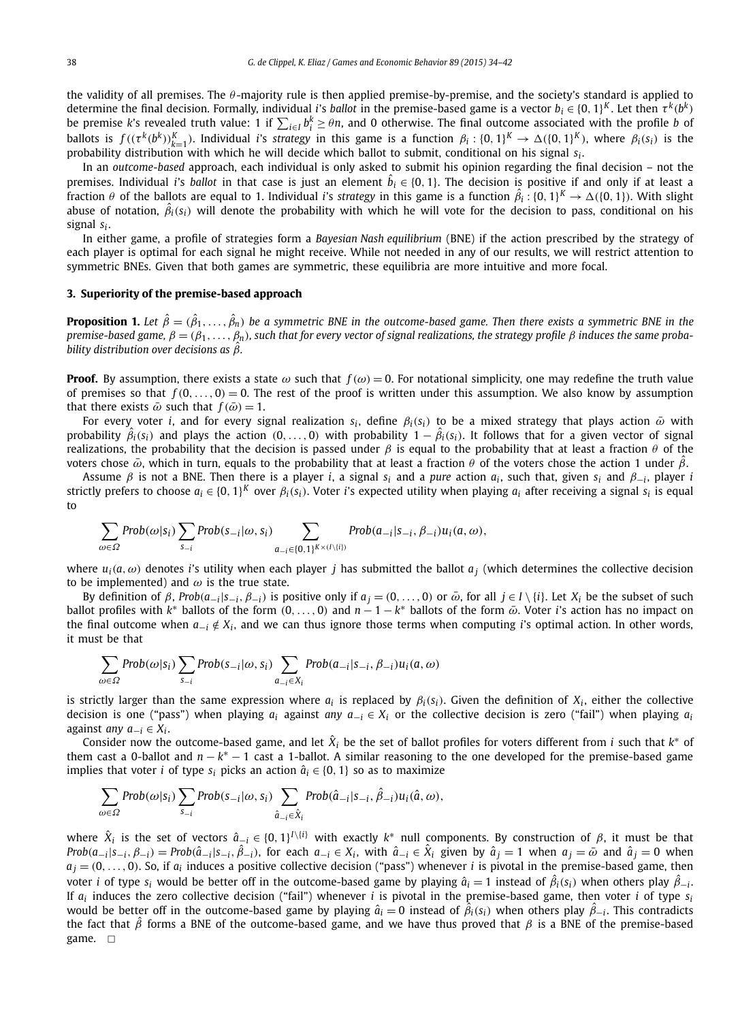<span id="page-4-0"></span>the validity of all premises. The  $θ$ -majority rule is then applied premise-by-premise, and the society's standard is applied to determine the final decision. Formally, individual *i*'s *ballot* in the premise-based game is a vector  $b_i \in \{0, 1\}^K$ . Let then  $\tau^k(b^k)$ be premise *k*'s revealed truth value: 1 if  $\sum_{i\in I} b_i^k \ge \theta n$ , and 0 otherwise. The final outcome associated with the profile *b* of ballots is  $f((\tau^k(b^k))_{k=1}^K)$ . Individual *i*'s strategy in this game is a function  $\beta_i: \{0,1\}^K \to \Delta(\{0,1\}^K)$ , where  $\beta_i(s_i)$  is the probability distribution with which he will decide which ballot to submit, conditional on his signal *si* .

In an *outcome-based* approach, each individual is only asked to submit his opinion regarding the final decision – not the premises. Individual *i*'s *ballot* in that case is just an element  $\hat{b}_i \in \{0,1\}$ . The decision is positive if and only if at least a fraction  $\theta$  of the ballots are equal to 1. Individual *i*'s *strategy* in this game is a function  $\hat{\beta}_i$  : {0, 1}<sup>K</sup>  $\to$   $\Delta$ ({0, 1}). With slight abuse of notation,  $\hat{\beta}_i(s_i)$  will denote the probability with which he will vote for the decision to pass, conditional on his signal *si* .

In either game, a profile of strategies form a *Bayesian Nash equilibrium* (BNE) if the action prescribed by the strategy of each player is optimal for each signal he might receive. While not needed in any of our results, we will restrict attention to symmetric BNEs. Given that both games are symmetric, these equilibria are more intuitive and more focal.

#### **3. Superiority of the premise-based approach**

**Proposition 1.** Let  $\hat{\beta}=(\hat{\beta}_1,\ldots,\hat{\beta}_n)$  be a symmetric BNE in the outcome-based game. Then there exists a symmetric BNE in the premise-based game,  $\beta = (\beta_1, \ldots, \beta_n)$ , such that for every vector of signal realizations, the strategy profile  $\beta$  induces the same proba*bility distribution over decisions as β*ˆ*.*

**Proof.** By assumption, there exists a state  $\omega$  such that  $f(\omega) = 0$ . For notational simplicity, one may redefine the truth value of premises so that  $f(0, \ldots, 0) = 0$ . The rest of the proof is written under this assumption. We also know by assumption that there exists  $\bar{\omega}$  such that  $f(\bar{\omega}) = 1$ .

For every voter *i*, and for every signal realization  $s_i$ , define  $\beta_i(s_i)$  to be a mixed strategy that plays action  $\bar{\omega}$  with probability  $\hat{\beta}_i(s_i)$  and plays the action  $(0,\ldots,0)$  with probability  $1-\hat{\beta}_i(s_i)$ . It follows that for a given vector of signal realizations, the probability that the decision is passed under *β* is equal to the probability that at least a fraction *θ* of the voters chose  $\bar{\omega}$ , which in turn, equals to the probability that at least a fraction *θ* of the voters chose the action 1 under  $\hat{\beta}$ .

Assume *β* is not a BNE. Then there is a player *i*, a signal *si* and a *pure* action *ai* , such that, given *si* and *β*−*<sup>i</sup>* , player *i* strictly prefers to choose  $a_i \in \{0, 1\}^K$  over  $\beta_i(s_i)$ . Voter *i*'s expected utility when playing  $a_i$  after receiving a signal  $s_i$  is equal to

$$
\sum_{\omega \in \Omega} Prob(\omega|s_i) \sum_{s_{-i}} Prob(s_{-i}|\omega, s_i) \sum_{a_{-i} \in \{0,1\}^{K \times (I \setminus \{i\})}} Prob(a_{-i}|s_{-i}, \beta_{-i}) u_i(a, \omega),
$$

where  $u_i(a, \omega)$  denotes *i*'s utility when each player *j* has submitted the ballot  $a_i$  (which determines the collective decision to be implemented) and  $\omega$  is the true state.

By definition of  $\beta$ , Prob( $a_{-i}|s_{-i}, \beta_{-i}$ ) is positive only if  $a_i = (0, \ldots, 0)$  or  $\bar{\omega}$ , for all  $j \in I \setminus \{i\}$ . Let  $X_i$  be the subset of such ballot profiles with *k*<sup>∗</sup> ballots of the form *(*0*,...,* 0*)* and *n* − 1 − *k*<sup>∗</sup> ballots of the form *ω*¯ . Voter *i*'s action has no impact on the final outcome when *a*−*<sup>i</sup>* ∈*/ Xi* , and we can thus ignore those terms when computing *i*'s optimal action. In other words, it must be that

$$
\sum_{\omega \in \Omega} Prob(\omega|s_i) \sum_{s_{-i}} Prob(s_{-i}|\omega, s_i) \sum_{a_{-i} \in X_i} Prob(a_{-i}|s_{-i}, \beta_{-i}) u_i(a, \omega)
$$

is strictly larger than the same expression where  $a_i$  is replaced by  $\beta_i(s_i)$ . Given the definition of  $X_i$ , either the collective decision is one ("pass") when playing  $a_i$  against *any*  $a_{-i} \in X_i$  or the collective decision is zero ("fail") when playing  $a_i$ against *any a*−*<sup>i</sup>* ∈ *Xi* .

Consider now the outcome-based game, and let  $\hat{X}_i$  be the set of ballot profiles for voters different from *i* such that  $k^*$  of them cast a 0-ballot and *n* − *k*<sup>∗</sup> − 1 cast a 1-ballot. A similar reasoning to the one developed for the premise-based game implies that voter *i* of type  $s_i$  picks an action  $\hat{a}_i \in \{0, 1\}$  so as to maximize

$$
\sum_{\omega \in \Omega} Prob(\omega|s_i) \sum_{s_{-i}} Prob(s_{-i}|\omega, s_i) \sum_{\hat{a}_{-i} \in \hat{X}_i} Prob(\hat{a}_{-i}|s_{-i}, \hat{\beta}_{-i}) u_i(\hat{a}, \omega),
$$

where  $\hat{X}_i$  is the set of vectors  $\hat{a}_{-i} \in \{0, 1\}^{I \setminus \{i\}}$  with exactly  $k^*$  null components. By construction of *β*, it must be that Prob $(a_{-i}|s_{-i}, \beta_{-i}) =$ Prob $(\hat{a}_{-i}|s_{-i}, \hat{\beta}_{-i})$ , for each  $a_{-i} \in X_i$ , with  $\hat{a}_{-i} \in \hat{X}_i$  given by  $\hat{a}_j = 1$  when  $a_j = \bar{\omega}$  and  $\hat{a}_j = 0$  when  $a_i = (0, \ldots, 0)$ . So, if  $a_i$  induces a positive collective decision ("pass") whenever *i* is pivotal in the premise-based game, then voter *i* of type  $s_i$  would be better off in the outcome-based game by playing  $\hat{a}_i=1$  instead of  $\hat{\beta}_i(s_i)$  when others play  $\hat{\beta}_{-i}$ . If  $a_i$  induces the zero collective decision ("fail") whenever *i* is pivotal in the premise-based game, then voter *i* of type  $s_i$ would be better off in the outcome-based game by playing  $\hat{a}_i = 0$  instead of  $\hat{\beta}_i(s_i)$  when others play  $\hat{\beta}_{-i}$ . This contradicts the fact that *β*ˆ forms a BNE of the outcome-based game, and we have thus proved that *β* is a BNE of the premise-based game.  $\square$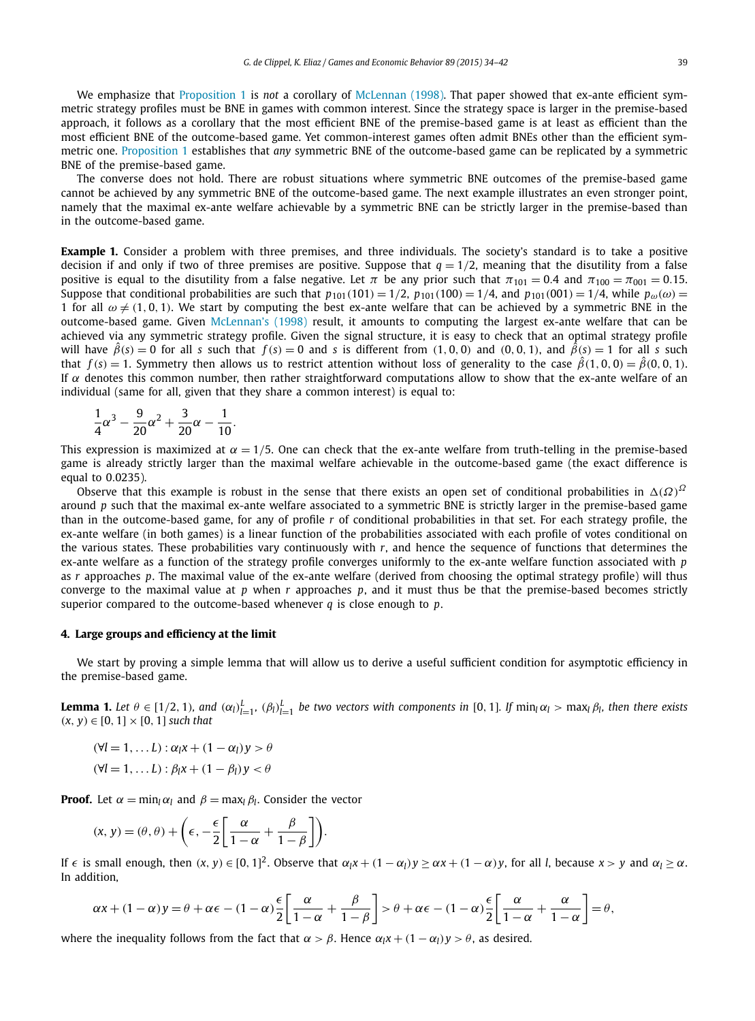<span id="page-5-0"></span>We emphasize that [Proposition 1](#page-4-0) is *not* a corollary of [McLennan](#page-8-0) (1998). That paper showed that ex-ante efficient symmetric strategy profiles must be BNE in games with common interest. Since the strategy space is larger in the premise-based approach, it follows as a corollary that the most efficient BNE of the premise-based game is at least as efficient than the most efficient BNE of the outcome-based game. Yet common-interest games often admit BNEs other than the efficient symmetric one. [Proposition 1](#page-4-0) establishes that *any* symmetric BNE of the outcome-based game can be replicated by a symmetric BNE of the premise-based game.

The converse does not hold. There are robust situations where symmetric BNE outcomes of the premise-based game cannot be achieved by any symmetric BNE of the outcome-based game. The next example illustrates an even stronger point, namely that the maximal ex-ante welfare achievable by a symmetric BNE can be strictly larger in the premise-based than in the outcome-based game.

**Example 1.** Consider a problem with three premises, and three individuals. The society's standard is to take a positive decision if and only if two of three premises are positive. Suppose that  $q = 1/2$ , meaning that the disutility from a false positive is equal to the disutility from a false negative. Let  $\pi$  be any prior such that  $\pi_{101} = 0.4$  and  $\pi_{100} = \pi_{001} = 0.15$ . Suppose that conditional probabilities are such that  $p_{101}(101) = 1/2$ ,  $p_{101}(100) = 1/4$ , and  $p_{101}(001) = 1/4$ , while  $p_{\omega}(\omega) =$ 1 for all  $\omega \neq (1,0,1)$ . We start by computing the best ex-ante welfare that can be achieved by a symmetric BNE in the outcome-based game. Given [McLennan's](#page-8-0) (1998) result, it amounts to computing the largest ex-ante welfare that can be achieved via any symmetric strategy profile. Given the signal structure, it is easy to check that an optimal strategy profile will have  $\hat{\beta}(s) = 0$  for all s such that  $f(s) = 0$  and s is different from (1,0,0) and (0,0,1), and  $\hat{\beta}(s) = 1$  for all s such that  $f(s) = 1$ . Symmetry then allows us to restrict attention without loss of generality to the case  $\hat{\beta}(1,0,0) = \hat{\beta}(0,0,1)$ . If  $α$  denotes this common number, then rather straightforward computations allow to show that the ex-ante welfare of an individual (same for all, given that they share a common interest) is equal to:

$$
\frac{1}{4}\alpha^3 - \frac{9}{20}\alpha^2 + \frac{3}{20}\alpha - \frac{1}{10}.
$$

This expression is maximized at  $\alpha = 1/5$ . One can check that the ex-ante welfare from truth-telling in the premise-based game is already strictly larger than the maximal welfare achievable in the outcome-based game (the exact difference is equal to 0*.*0235).

Observe that this example is robust in the sense that there exists an open set of conditional probabilities in  $\Delta(\Omega)^2$ around *p* such that the maximal ex-ante welfare associated to a symmetric BNE is strictly larger in the premise-based game than in the outcome-based game, for any of profile *r* of conditional probabilities in that set. For each strategy profile, the ex-ante welfare (in both games) is a linear function of the probabilities associated with each profile of votes conditional on the various states. These probabilities vary continuously with *r*, and hence the sequence of functions that determines the ex-ante welfare as a function of the strategy profile converges uniformly to the ex-ante welfare function associated with *p* as *r* approaches *p*. The maximal value of the ex-ante welfare (derived from choosing the optimal strategy profile) will thus converge to the maximal value at *p* when *r* approaches *p*, and it must thus be that the premise-based becomes strictly superior compared to the outcome-based whenever *q* is close enough to *p*.

#### **4. Large groups and efficiency at the limit**

We start by proving a simple lemma that will allow us to derive a useful sufficient condition for asymptotic efficiency in the premise-based game.

**Lemma 1.** Let  $\theta \in [1/2, 1)$ , and  $(\alpha_l)_{l=1}^L$ ,  $(\beta_l)_{l=1}^L$  be two vectors with components in [0, 1]. If  $\min_l \alpha_l > \max_l \beta_l$ , then there exists  $(x, y) ∈ [0, 1] × [0, 1]$  *such that* 

 $(\forall l = 1, \ldots L)$ :  $\alpha_l x + (1 - \alpha_l) y > \theta$  $(\forall l = 1, \ldots L)$ :  $\beta_l x + (1 - \beta_l) y < \theta$ 

**Proof.** Let  $\alpha = \min_l \alpha_l$  and  $\beta = \max_l \beta_l$ . Consider the vector

$$
(x, y) = (\theta, \theta) + \left(\epsilon, -\frac{\epsilon}{2} \left[ \frac{\alpha}{1 - \alpha} + \frac{\beta}{1 - \beta} \right] \right).
$$

If  $\epsilon$  is small enough, then  $(x, y) \in [0, 1]^2$ . Observe that  $\alpha_l x + (1 - \alpha_l)y \ge \alpha x + (1 - \alpha)y$ , for all *l*, because  $x > y$  and  $\alpha_l \ge \alpha$ . In addition,

$$
\alpha x + (1 - \alpha) y = \theta + \alpha \epsilon - (1 - \alpha) \frac{\epsilon}{2} \left[ \frac{\alpha}{1 - \alpha} + \frac{\beta}{1 - \beta} \right] > \theta + \alpha \epsilon - (1 - \alpha) \frac{\epsilon}{2} \left[ \frac{\alpha}{1 - \alpha} + \frac{\alpha}{1 - \alpha} \right] = \theta,
$$

where the inequality follows from the fact that  $\alpha > \beta$ . Hence  $\alpha_l x + (1 - \alpha_l)y > \theta$ , as desired.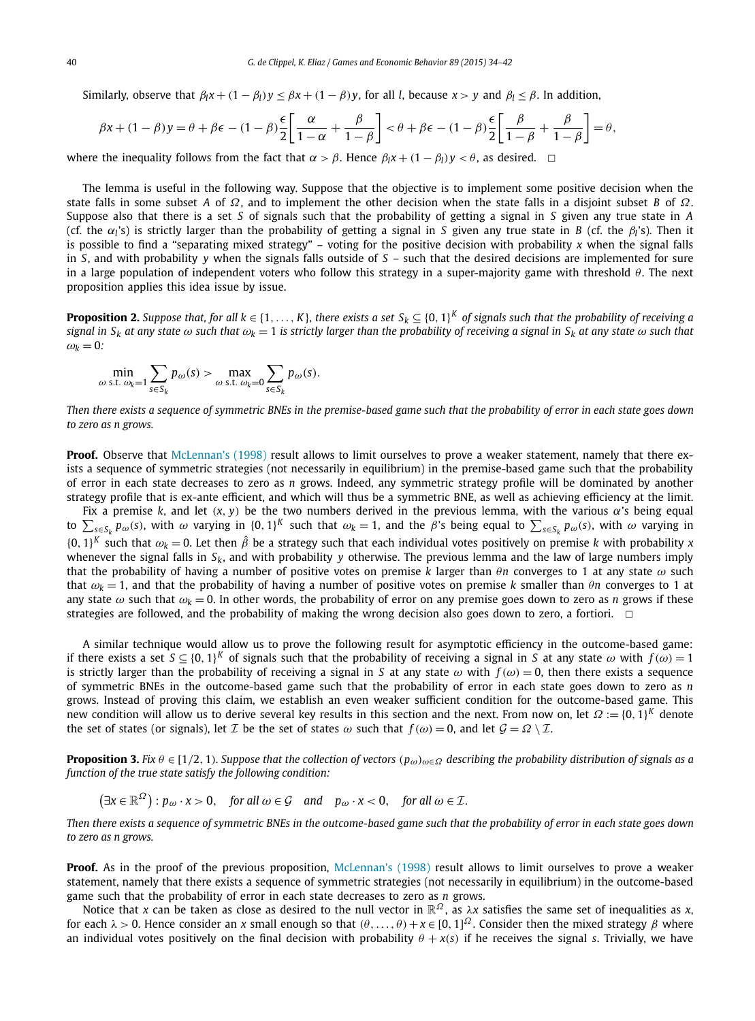<span id="page-6-0"></span>Similarly, observe that  $\beta_l x + (1 - \beta_l)y \leq \beta x + (1 - \beta)y$ , for all *l*, because  $x > y$  and  $\beta_l \leq \beta$ . In addition,

$$
\beta x + (1 - \beta) y = \theta + \beta \epsilon - (1 - \beta) \frac{\epsilon}{2} \left[ \frac{\alpha}{1 - \alpha} + \frac{\beta}{1 - \beta} \right] < \theta + \beta \epsilon - (1 - \beta) \frac{\epsilon}{2} \left[ \frac{\beta}{1 - \beta} + \frac{\beta}{1 - \beta} \right] = \theta,
$$

where the inequality follows from the fact that  $\alpha > \beta$ . Hence  $\beta_l x + (1 - \beta_l)y < \theta$ , as desired.  $\Box$ 

The lemma is useful in the following way. Suppose that the objective is to implement some positive decision when the state falls in some subset *A* of *Ω*, and to implement the other decision when the state falls in a disjoint subset *B* of *Ω*. Suppose also that there is a set *S* of signals such that the probability of getting a signal in *S* given any true state in *A* (cf. the *αl*'s) is strictly larger than the probability of getting a signal in *S* given any true state in *B* (cf. the *βl*'s). Then it is possible to find a "separating mixed strategy" – voting for the positive decision with probability *x* when the signal falls in *S*, and with probability *y* when the signals falls outside of *S* – such that the desired decisions are implemented for sure in a large population of independent voters who follow this strategy in a super-majority game with threshold θ. The next proposition applies this idea issue by issue.

**Proposition 2.** Suppose that, for all  $k \in \{1, ..., K\}$ , there exists a set  $S_k \subseteq \{0, 1\}^K$  of signals such that the probability of receiving a signal in S<sub>k</sub> at any state  $\omega$  such that  $\omega_k = 1$  is strictly larger than the probability of receiving a signal in S<sub>k</sub> at any state  $\omega$  such that  $\omega_k = 0$ :

$$
\min_{\omega \text{ s.t. } \omega_k=1} \sum_{s \in S_k} p_{\omega}(s) > \max_{\omega \text{ s.t. } \omega_k=0} \sum_{s \in S_k} p_{\omega}(s).
$$

Then there exists a sequence of symmetric BNEs in the premise-based game such that the probability of error in each state goes down *to zero as n grows.*

**Proof.** Observe that [McLennan's](#page-8-0) (1998) result allows to limit ourselves to prove a weaker statement, namely that there exists a sequence of symmetric strategies (not necessarily in equilibrium) in the premise-based game such that the probability of error in each state decreases to zero as *n* grows. Indeed, any symmetric strategy profile will be dominated by another strategy profile that is ex-ante efficient, and which will thus be a symmetric BNE, as well as achieving efficiency at the limit.

Fix a premise *k*, and let *(x, y)* be the two numbers derived in the previous lemma, with the various *α*'s being equal to  $\sum_{s\in S_k} p_\omega(s)$ , with  $\omega$  varying in  $\{0,1\}^K$  such that  $\omega_k = 1$ , and the  $\beta$ 's being equal to  $\sum_{s\in S_k} p_\omega(s)$ , with  $\omega$  varying in  $\{0, 1\}^K$  such that  $\omega_k = 0$ . Let then  $\hat{\beta}$  be a strategy such that each individual votes positively on premise *k* with probability *x* whenever the signal falls in *Sk*, and with probability *y* otherwise. The previous lemma and the law of large numbers imply that the probability of having a number of positive votes on premise *k* larger than *θn* converges to 1 at any state *ω* such that  $\omega_k = 1$ , and that the probability of having a number of positive votes on premise *k* smaller than  $\theta$ *n* converges to 1 at any state  $\omega$  such that  $\omega_k = 0$ . In other words, the probability of error on any premise goes down to zero as *n* grows if these strategies are followed, and the probability of making the wrong decision also goes down to zero, a fortiori.  $\Box$ 

A similar technique would allow us to prove the following result for asymptotic efficiency in the outcome-based game: if there exists a set  $S \subseteq \{0,1\}^K$  of signals such that the probability of receiving a signal in *S* at any state  $\omega$  with  $f(\omega) = 1$ is strictly larger than the probability of receiving a signal in *S* at any state  $\omega$  with  $f(\omega) = 0$ , then there exists a sequence of symmetric BNEs in the outcome-based game such that the probability of error in each state goes down to zero as *n* grows. Instead of proving this claim, we establish an even weaker sufficient condition for the outcome-based game. This new condition will allow us to derive several key results in this section and the next. From now on, let *Ω* := {0*,* 1}*<sup>K</sup>* denote the set of states (or signals), let *I* be the set of states  $\omega$  such that  $f(\omega) = 0$ , and let  $G = \Omega \setminus I$ .

**Proposition 3.** Fix  $\theta \in [1/2, 1)$ . Suppose that the collection of vectors  $(p_{\omega})_{\omega \in \Omega}$  describing the probability distribution of signals as a *function of the true state satisfy the following condition:*

 $(\exists x \in \mathbb{R}^{\Omega}) : p_{\omega} \cdot x > 0$ , for all  $\omega \in \mathcal{G}$  and  $p_{\omega} \cdot x < 0$ , for all  $\omega \in \mathcal{I}$ .

Then there exists a sequence of symmetric BNEs in the outcome-based game such that the probability of error in each state goes down *to zero as n grows.*

**Proof.** As in the proof of the previous proposition, [McLennan's](#page-8-0) (1998) result allows to limit ourselves to prove a weaker statement, namely that there exists a sequence of symmetric strategies (not necessarily in equilibrium) in the outcome-based game such that the probability of error in each state decreases to zero as *n* grows.

Notice that *x* can be taken as close as desired to the null vector in R*<sup>Ω</sup>* , as *λx* satisfies the same set of inequalities as *x*, for each  $\lambda > 0$ . Hence consider an *x* small enough so that  $(\theta, \ldots, \theta) + x \in [0, 1]^{\Omega}$ . Consider then the mixed strategy  $\beta$  where an individual votes positively on the final decision with probability  $\theta + x(s)$  if he receives the signal *s*. Trivially, we have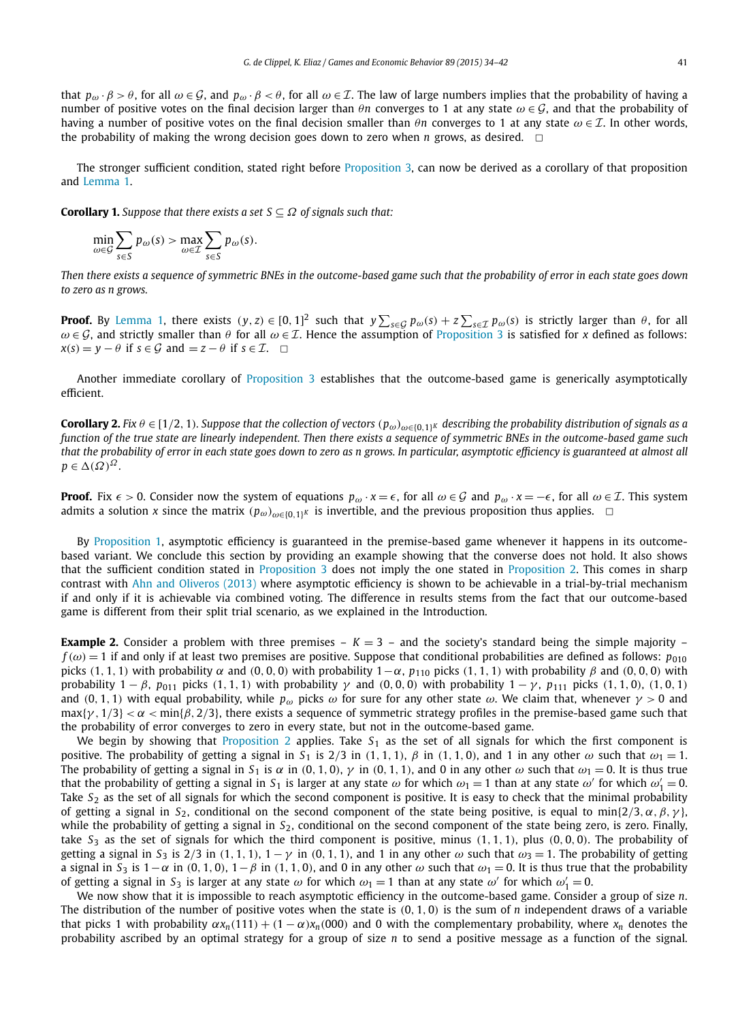<span id="page-7-0"></span>that  $p_\omega \cdot \beta > \theta$ , for all  $\omega \in \mathcal{G}$ , and  $p_\omega \cdot \beta < \theta$ , for all  $\omega \in \mathcal{I}$ . The law of large numbers implies that the probability of having a number of positive votes on the final decision larger than *θ<sup>n</sup>* converges to 1 at any state *ω* ∈ G, and that the probability of having <sup>a</sup> number of positive votes on the final decision smaller than *θ<sup>n</sup>* converges to 1 at any state *ω* ∈ I. In other words, the probability of making the wrong decision goes down to zero when *n* grows, as desired.  $\Box$ 

The stronger sufficient condition, stated right before [Proposition 3,](#page-6-0) can now be derived as a corollary of that proposition and [Lemma 1.](#page-5-0)

**Corollary 1.** *Suppose that there exists a set*  $S \subseteq \Omega$  *of signals such that:* 

$$
\min_{\omega \in \mathcal{G}} \sum_{s \in S} p_{\omega}(s) > \max_{\omega \in \mathcal{I}} \sum_{s \in S} p_{\omega}(s).
$$

Then there exists a sequence of symmetric BNEs in the outcome-based game such that the probability of error in each state goes down *to zero as n grows.*

**Proof.** By [Lemma 1,](#page-5-0) there exists  $(y, z) \in [0, 1]^2$  such that  $y \sum_{s \in G} p_{\omega}(s) + z \sum_{s \in T} p_{\omega}(s)$  is strictly larger than  $\theta$ , for all  $\omega \in \mathcal{G}$ , and strictly smaller than  $\theta$  for all  $\omega \in \mathcal{I}$ . Hence the assumption of [Proposition 3](#page-6-0) is satisfied for *x* defined as follows:  $x(s) = y - \theta$  if  $s \in \mathcal{G}$  and  $= z - \theta$  if  $s \in \mathcal{I}$ .  $\Box$ 

Another immediate corollary of [Proposition 3](#page-6-0) establishes that the outcome-based game is generically asymptotically efficient.

**Corollary 2.** Fix  $\theta \in [1/2, 1)$ . Suppose that the collection of vectors  $(p_{\omega})_{\omega \in \{0,1\}^K}$  describing the probability distribution of signals as a function of the true state are linearly independent. Then there exists a sequence of symmetric BNEs in the outcome-based game such that the probability of error in each state goes down to zero as n grows. In particular, asymptotic efficiency is guaranteed at almost all  $p \in \Delta(\Omega)^{\Omega}$ .

**Proof.** Fix  $\epsilon > 0$ . Consider now the system of equations  $p_{\omega} \cdot x = \epsilon$ , for all  $\omega \in \mathcal{G}$  and  $p_{\omega} \cdot x = -\epsilon$ , for all  $\omega \in \mathcal{I}$ . This system admits a solution *x* since the matrix  $(p_\omega)_{\omega \in \{0,1\}^K}$  is invertible, and the previous proposition thus applies.  $\Box$ 

By [Proposition 1,](#page-4-0) asymptotic efficiency is guaranteed in the premise-based game whenever it happens in its outcomebased variant. We conclude this section by providing an example showing that the converse does not hold. It also shows that the sufficient condition stated in [Proposition 3](#page-6-0) does not imply the one stated in [Proposition 2.](#page-6-0) This comes in sharp contrast with Ahn and [Oliveros](#page-8-0) (2013) where asymptotic efficiency is shown to be achievable in a trial-by-trial mechanism if and only if it is achievable via combined voting. The difference in results stems from the fact that our outcome-based game is different from their split trial scenario, as we explained in the Introduction.

**Example 2.** Consider a problem with three premises  $- K = 3 -$  and the society's standard being the simple majority  $$  $f(\omega) = 1$  if and only if at least two premises are positive. Suppose that conditional probabilities are defined as follows:  $p_{010}$ picks (1, 1, 1) with probability  $\alpha$  and (0, 0, 0) with probability  $1-\alpha$ ,  $p_{110}$  picks (1, 1, 1) with probability  $\beta$  and (0, 0, 0) with probability  $1 - \beta$ ,  $p_{011}$  picks (1, 1, 1) with probability  $\gamma$  and (0, 0, 0) with probability  $1 - \gamma$ ,  $p_{111}$  picks (1, 1, 0), (1, 0, 1) and (0, 1, 1) with equal probability, while  $p_\omega$  picks  $\omega$  for sure for any other state  $\omega$ . We claim that, whenever  $\gamma > 0$  and  $\max{\{\gamma, 1/3\}} < \alpha < \min{\{\beta, 2/3\}}$ , there exists a sequence of symmetric strategy profiles in the premise-based game such that the probability of error converges to zero in every state, but not in the outcome-based game.

We begin by showing that [Proposition 2](#page-6-0) applies. Take *S*<sup>1</sup> as the set of all signals for which the first component is positive. The probability of getting a signal in  $S_1$  is  $2/3$  in  $(1, 1, 1)$ ,  $\beta$  in  $(1, 1, 0)$ , and 1 in any other  $\omega$  such that  $\omega_1 = 1$ . The probability of getting a signal in  $S_1$  is  $\alpha$  in  $(0, 1, 0)$ ,  $\gamma$  in  $(0, 1, 1)$ , and 0 in any other  $\omega$  such that  $\omega_1 = 0$ . It is thus true that the probability of getting a signal in  $S_1$  is larger at any state  $\omega$  for which  $\omega_1 = 1$  than at any state  $\omega'$  for which  $\omega'_1 = 0$ . Take  $S_2$  as the set of all signals for which the second component is positive. It is easy to check that the minimal probability of getting a signal in *S*<sub>2</sub>, conditional on the second component of the state being positive, is equal to min $\{2/3, \alpha, \beta, \gamma\}$ , while the probability of getting a signal in  $S_2$ , conditional on the second component of the state being zero, is zero. Finally, take  $S_3$  as the set of signals for which the third component is positive, minus  $(1, 1, 1)$ , plus  $(0, 0, 0)$ . The probability of getting a signal in  $S_3$  is  $2/3$  in  $(1, 1, 1)$ ,  $1 - \gamma$  in  $(0, 1, 1)$ , and 1 in any other  $\omega$  such that  $\omega_3 = 1$ . The probability of getting a signal in  $S_3$  is  $1-\alpha$  in  $(0, 1, 0)$ ,  $1-\beta$  in  $(1, 1, 0)$ , and 0 in any other  $\omega$  such that  $\omega_1 = 0$ . It is thus true that the probability of getting a signal in  $S_3$  is larger at any state  $\omega$  for which  $\omega_1 = 1$  than at any state  $\omega'$  for which  $\omega'_1 = 0$ .

We now show that it is impossible to reach asymptotic efficiency in the outcome-based game. Consider a group of size *n*. The distribution of the number of positive votes when the state is *(*0*,* 1*,* 0*)* is the sum of *n* independent draws of a variable that picks 1 with probability  $αx_n(111) + (1 - α)x_n(000)$  and 0 with the complementary probability, where  $x_n$  denotes the probability ascribed by an optimal strategy for a group of size *n* to send a positive message as a function of the signal.